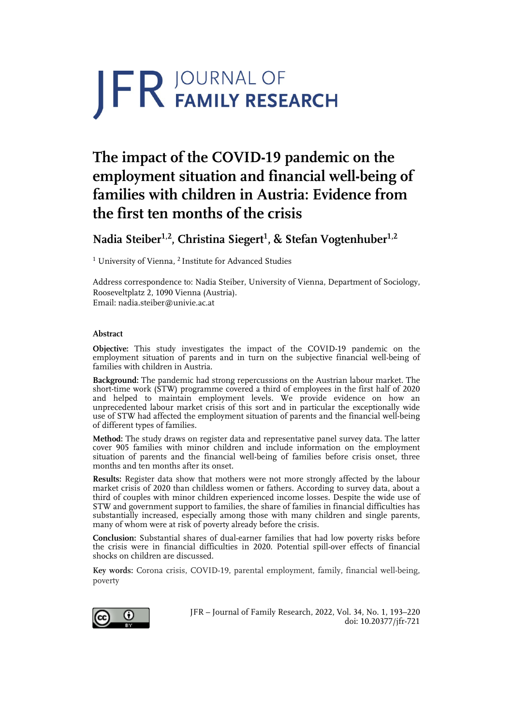# **JFR JOURNAL OF**

# **The impact of the COVID-19 pandemic on the employment situation and financial well-being of families with children in Austria: Evidence from the first ten months of the crisis**

**Nadia Steiber1,2, Christina Siegert1 , & Stefan Vogtenhuber1,2**

<sup>1</sup> University of Vienna, <sup>2</sup> Institute for Advanced Studies

Address correspondence to: Nadia Steiber, University of Vienna, Department of Sociology, Rooseveltplatz 2, 1090 Vienna (Austria). Email: nadia.steiber@univie.ac.at

#### **Abstract**

**Objective:** This study investigates the impact of the COVID-19 pandemic on the employment situation of parents and in turn on the subjective financial well-being of families with children in Austria.

**Background:** The pandemic had strong repercussions on the Austrian labour market. The short-time work (STW) programme covered a third of employees in the first half of 2020 and helped to maintain employment levels. We provide evidence on how an unprecedented labour market crisis of this sort and in particular the exceptionally wide use of STW had affected the employment situation of parents and the financial well-being of different types of families.

**Method:** The study draws on register data and representative panel survey data. The latter cover 905 families with minor children and include information on the employment situation of parents and the financial well-being of families before crisis onset, three months and ten months after its onset.

**Results:** Register data show that mothers were not more strongly affected by the labour market crisis of 2020 than childless women or fathers. According to survey data, about a third of couples with minor children experienced income losses. Despite the wide use of STW and government support to families, the share of families in financial difficulties has substantially increased, especially among those with many children and single parents, many of whom were at risk of poverty already before the crisis.

**Conclusion:** Substantial shares of dual-earner families that had low poverty risks before the crisis were in financial difficulties in 2020. Potential spill-over effects of financial shocks on children are discussed.

**Key words:** Corona crisis, COVID-19, parental employment, family, financial well-being, poverty



JFR – Journal of Family Research, 2022, Vol. 34, No. 1, 193–220 doi: 10.20377/jfr-721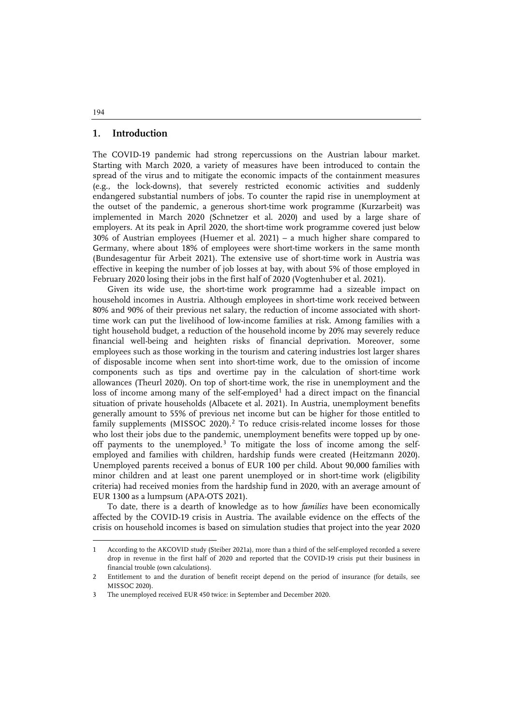#### **1. Introduction**

The COVID-19 pandemic had strong repercussions on the Austrian labour market. Starting with March 2020, a variety of measures have been introduced to contain the spread of the virus and to mitigate the economic impacts of the containment measures (e.g., the lock-downs), that severely restricted economic activities and suddenly endangered substantial numbers of jobs. To counter the rapid rise in unemployment at the outset of the pandemic, a generous short-time work programme (Kurzarbeit) was implemented in March 2020 (Schnetzer et al. 2020) and used by a large share of employers. At its peak in April 2020, the short-time work programme covered just below 30% of Austrian employees (Huemer et al. 2021) – a much higher share compared to Germany, where about 18% of employees were short-time workers in the same month (Bundesagentur für Arbeit 2021). The extensive use of short-time work in Austria was effective in keeping the number of job losses at bay, with about 5% of those employed in February 2020 losing their jobs in the first half of 2020 (Vogtenhuber et al. 2021).

Given its wide use, the short-time work programme had a sizeable impact on household incomes in Austria. Although employees in short-time work received between 80% and 90% of their previous net salary, the reduction of income associated with shorttime work can put the livelihood of low-income families at risk. Among families with a tight household budget, a reduction of the household income by 20% may severely reduce financial well-being and heighten risks of financial deprivation. Moreover, some employees such as those working in the tourism and catering industries lost larger shares of disposable income when sent into short-time work, due to the omission of income components such as tips and overtime pay in the calculation of short-time work allowances (Theurl 2020). On top of short-time work, the rise in unemployment and the loss of income among many of the self-employed<sup>[1](#page-1-0)</sup> had a direct impact on the financial situation of private households (Albacete et al. 2021). In Austria, unemployment benefits generally amount to 55% of previous net income but can be higher for those entitled to family supplements (MISSOC [2](#page-1-1)020).<sup>2</sup> To reduce crisis-related income losses for those who lost their jobs due to the pandemic, unemployment benefits were topped up by one-off payments to the unemployed.<sup>[3](#page-1-2)</sup> To mitigate the loss of income among the selfemployed and families with children, hardship funds were created (Heitzmann 2020). Unemployed parents received a bonus of EUR 100 per child. About 90,000 families with minor children and at least one parent unemployed or in short-time work (eligibility criteria) had received monies from the hardship fund in 2020, with an average amount of EUR 1300 as a lumpsum (APA-OTS 2021).

To date, there is a dearth of knowledge as to how *families* have been economically affected by the COVID-19 crisis in Austria. The available evidence on the effects of the crisis on household incomes is based on simulation studies that project into the year 2020

j

<span id="page-1-0"></span><sup>1</sup> According to the AKCOVID study (Steiber 2021a), more than a third of the self-employed recorded a severe drop in revenue in the first half of 2020 and reported that the COVID-19 crisis put their business in financial trouble (own calculations).

<span id="page-1-1"></span><sup>2</sup> Entitlement to and the duration of benefit receipt depend on the period of insurance (for details, see MISSOC 2020).

<span id="page-1-2"></span><sup>3</sup> The unemployed received EUR 450 twice: in September and December 2020.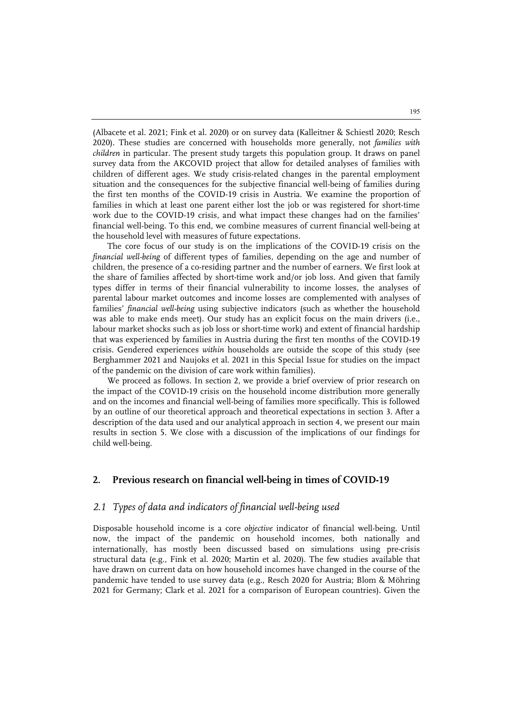(Albacete et al. 2021; Fink et al. 2020) or on survey data (Kalleitner & Schiestl 2020; Resch 2020). These studies are concerned with households more generally, not *families with children* in particular. The present study targets this population group. It draws on panel survey data from the AKCOVID project that allow for detailed analyses of families with children of different ages. We study crisis-related changes in the parental employment situation and the consequences for the subjective financial well-being of families during the first ten months of the COVID-19 crisis in Austria. We examine the proportion of families in which at least one parent either lost the job or was registered for short-time work due to the COVID-19 crisis, and what impact these changes had on the families' financial well-being. To this end, we combine measures of current financial well-being at the household level with measures of future expectations.

The core focus of our study is on the implications of the COVID-19 crisis on the *financial well-being* of different types of families, depending on the age and number of children, the presence of a co-residing partner and the number of earners. We first look at the share of families affected by short-time work and/or job loss. And given that family types differ in terms of their financial vulnerability to income losses, the analyses of parental labour market outcomes and income losses are complemented with analyses of families' *financial well-being* using subjective indicators (such as whether the household was able to make ends meet). Our study has an explicit focus on the main drivers (i.e., labour market shocks such as job loss or short-time work) and extent of financial hardship that was experienced by families in Austria during the first ten months of the COVID-19 crisis. Gendered experiences *within* households are outside the scope of this study (see Berghammer 2021 and Naujoks et al. 2021 in this Special Issue for studies on the impact of the pandemic on the division of care work within families).

We proceed as follows. In section 2, we provide a brief overview of prior research on the impact of the COVID-19 crisis on the household income distribution more generally and on the incomes and financial well-being of families more specifically. This is followed by an outline of our theoretical approach and theoretical expectations in section 3. After a description of the data used and our analytical approach in section 4, we present our main results in section 5. We close with a discussion of the implications of our findings for child well-being.

#### **2. Previous research on financial well-being in times of COVID-19**

#### *2.1 Types of data and indicators of financial well-being used*

Disposable household income is a core *objective* indicator of financial well-being. Until now, the impact of the pandemic on household incomes, both nationally and internationally, has mostly been discussed based on simulations using pre-crisis structural data (e.g., Fink et al. 2020; Martin et al. 2020). The few studies available that have drawn on current data on how household incomes have changed in the course of the pandemic have tended to use survey data (e.g., Resch 2020 for Austria; Blom & Möhring 2021 for Germany; Clark et al. 2021 for a comparison of European countries). Given the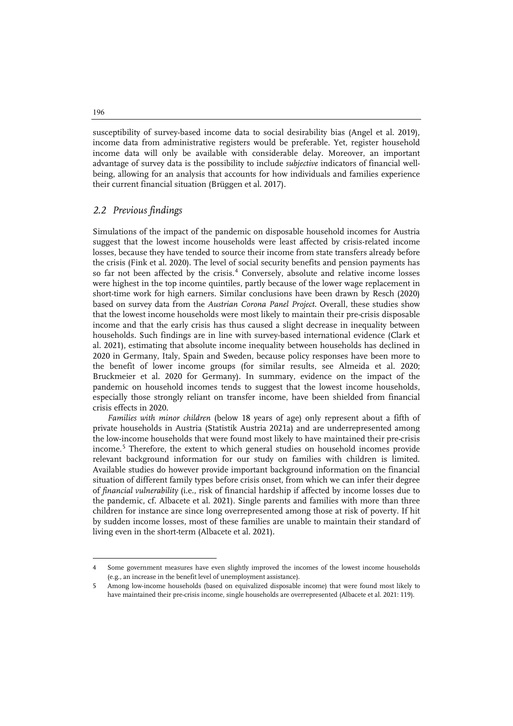susceptibility of survey-based income data to social desirability bias (Angel et al. 2019), income data from administrative registers would be preferable. Yet, register household income data will only be available with considerable delay. Moreover, an important advantage of survey data is the possibility to include *subjective* indicators of financial wellbeing, allowing for an analysis that accounts for how individuals and families experience their current financial situation (Brüggen et al. 2017).

## *2.2 Previous findings*

Simulations of the impact of the pandemic on disposable household incomes for Austria suggest that the lowest income households were least affected by crisis-related income losses, because they have tended to source their income from state transfers already before the crisis (Fink et al. 2020). The level of social security benefits and pension payments has so far not been affected by the crisis.<sup>[4](#page-3-0)</sup> Conversely, absolute and relative income losses were highest in the top income quintiles, partly because of the lower wage replacement in short-time work for high earners. Similar conclusions have been drawn by Resch (2020) based on survey data from the *Austrian Corona Panel Project*. Overall, these studies show that the lowest income households were most likely to maintain their pre-crisis disposable income and that the early crisis has thus caused a slight decrease in inequality between households. Such findings are in line with survey-based international evidence (Clark et al. 2021), estimating that absolute income inequality between households has declined in 2020 in Germany, Italy, Spain and Sweden, because policy responses have been more to the benefit of lower income groups (for similar results, see Almeida et al. 2020; Bruckmeier et al. 2020 for Germany). In summary, evidence on the impact of the pandemic on household incomes tends to suggest that the lowest income households, especially those strongly reliant on transfer income, have been shielded from financial crisis effects in 2020.

*Families with minor children* (below 18 years of age) only represent about a fifth of private households in Austria (Statistik Austria 2021a) and are underrepresented among the low-income households that were found most likely to have maintained their pre-crisis income.[5](#page-3-1) Therefore, the extent to which general studies on household incomes provide relevant background information for our study on families with children is limited. Available studies do however provide important background information on the financial situation of different family types before crisis onset, from which we can infer their degree of *financial vulnerability* (i.e., risk of financial hardship if affected by income losses due to the pandemic, cf. Albacete et al. 2021). Single parents and families with more than three children for instance are since long overrepresented among those at risk of poverty. If hit by sudden income losses, most of these families are unable to maintain their standard of living even in the short-term (Albacete et al. 2021).

196

j

<span id="page-3-0"></span><sup>4</sup> Some government measures have even slightly improved the incomes of the lowest income households (e.g., an increase in the benefit level of unemployment assistance).

<span id="page-3-1"></span>Among low-income households (based on equivalized disposable income) that were found most likely to have maintained their pre-crisis income, single households are overrepresented (Albacete et al. 2021: 119).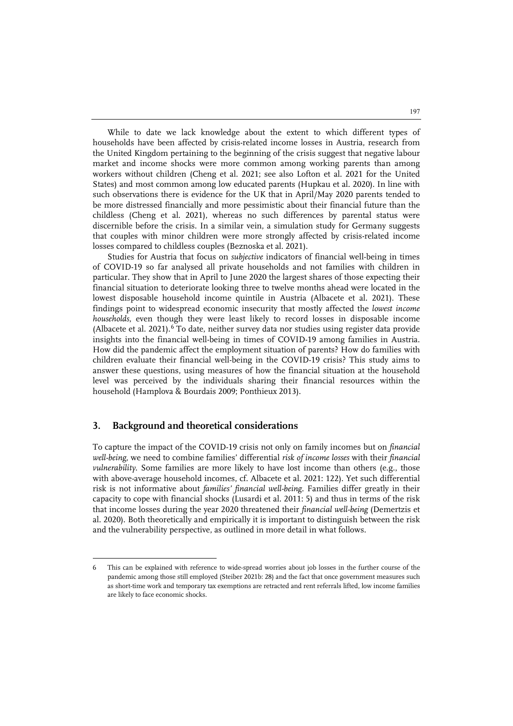While to date we lack knowledge about the extent to which different types of households have been affected by crisis-related income losses in Austria, research from the United Kingdom pertaining to the beginning of the crisis suggest that negative labour market and income shocks were more common among working parents than among workers without children (Cheng et al. 2021; see also Lofton et al. 2021 for the United States) and most common among low educated parents (Hupkau et al. 2020). In line with such observations there is evidence for the UK that in April/May 2020 parents tended to be more distressed financially and more pessimistic about their financial future than the childless (Cheng et al. 2021), whereas no such differences by parental status were discernible before the crisis. In a similar vein, a simulation study for Germany suggests that couples with minor children were more strongly affected by crisis-related income losses compared to childless couples (Beznoska et al. 2021).

Studies for Austria that focus on *subjective* indicators of financial well-being in times of COVID-19 so far analysed all private households and not families with children in particular. They show that in April to June 2020 the largest shares of those expecting their financial situation to deteriorate looking three to twelve months ahead were located in the lowest disposable household income quintile in Austria (Albacete et al. 2021). These findings point to widespread economic insecurity that mostly affected the *lowest income households*, even though they were least likely to record losses in disposable income (Albacete et al. 2021).<sup>[6](#page-4-0)</sup> To date, neither survey data nor studies using register data provide insights into the financial well-being in times of COVID-19 among families in Austria. How did the pandemic affect the employment situation of parents? How do families with children evaluate their financial well-being in the COVID-19 crisis? This study aims to answer these questions, using measures of how the financial situation at the household level was perceived by the individuals sharing their financial resources within the household (Hamplova & Bourdais 2009; Ponthieux 2013).

#### **3. Background and theoretical considerations**

j

To capture the impact of the COVID-19 crisis not only on family incomes but on *financial well-being*, we need to combine families' differential *risk of income losses* with their *financial vulnerability*. Some families are more likely to have lost income than others (e.g., those with above-average household incomes, cf. Albacete et al. 2021: 122). Yet such differential risk is not informative about *families' financial well-being*. Families differ greatly in their capacity to cope with financial shocks (Lusardi et al. 2011: 5) and thus in terms of the risk that income losses during the year 2020 threatened their *financial well-being* (Demertzis et al. 2020). Both theoretically and empirically it is important to distinguish between the risk and the vulnerability perspective, as outlined in more detail in what follows.

<span id="page-4-0"></span><sup>6</sup> This can be explained with reference to wide-spread worries about job losses in the further course of the pandemic among those still employed (Steiber 2021b: 28) and the fact that once government measures such as short-time work and temporary tax exemptions are retracted and rent referrals lifted, low income families are likely to face economic shocks.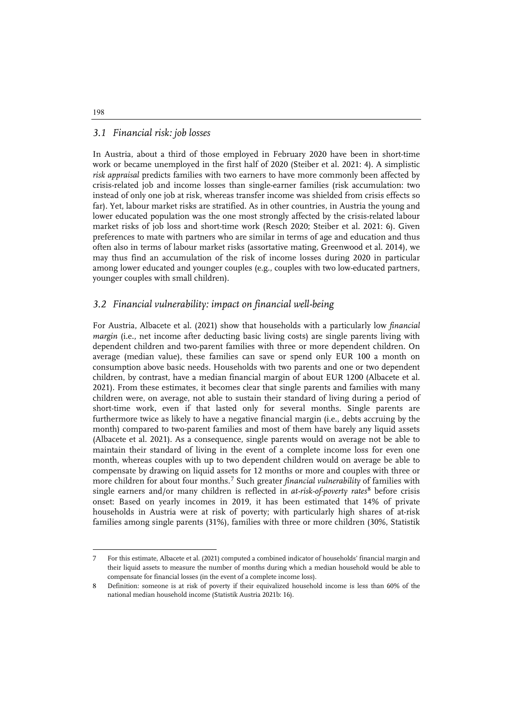# *3.1 Financial risk: job losses*

In Austria, about a third of those employed in February 2020 have been in short-time work or became unemployed in the first half of 2020 (Steiber et al. 2021: 4). A simplistic *risk appraisal* predicts families with two earners to have more commonly been affected by crisis-related job and income losses than single-earner families (risk accumulation: two instead of only one job at risk, whereas transfer income was shielded from crisis effects so far). Yet, labour market risks are stratified. As in other countries, in Austria the young and lower educated population was the one most strongly affected by the crisis-related labour market risks of job loss and short-time work (Resch 2020; Steiber et al. 2021: 6). Given preferences to mate with partners who are similar in terms of age and education and thus often also in terms of labour market risks (assortative mating, Greenwood et al. 2014), we may thus find an accumulation of the risk of income losses during 2020 in particular among lower educated and younger couples (e.g., couples with two low-educated partners, younger couples with small children).

# *3.2 Financial vulnerability: impact on financial well-being*

For Austria, Albacete et al. (2021) show that households with a particularly low *financial margin* (i.e., net income after deducting basic living costs) are single parents living with dependent children and two-parent families with three or more dependent children. On average (median value), these families can save or spend only EUR 100 a month on consumption above basic needs. Households with two parents and one or two dependent children, by contrast, have a median financial margin of about EUR 1200 (Albacete et al. 2021). From these estimates, it becomes clear that single parents and families with many children were, on average, not able to sustain their standard of living during a period of short-time work, even if that lasted only for several months. Single parents are furthermore twice as likely to have a negative financial margin (i.e., debts accruing by the month) compared to two-parent families and most of them have barely any liquid assets (Albacete et al. 2021). As a consequence, single parents would on average not be able to maintain their standard of living in the event of a complete income loss for even one month, whereas couples with up to two dependent children would on average be able to compensate by drawing on liquid assets for 12 months or more and couples with three or more children for about four months.[7](#page-5-0) Such greater *financial vulnerability* of families with single earners and/or many children is reflected in *at-risk-of-poverty rates*[8](#page-5-1) before crisis onset: Based on yearly incomes in 2019, it has been estimated that 14% of private households in Austria were at risk of poverty; with particularly high shares of at-risk families among single parents (31%), families with three or more children (30%, Statistik

#### 198

 $\ddot{ }$ 

<span id="page-5-0"></span><sup>7</sup> For this estimate, Albacete et al. (2021) computed a combined indicator of households' financial margin and their liquid assets to measure the number of months during which a median household would be able to compensate for financial losses (in the event of a complete income loss).

<span id="page-5-1"></span><sup>8</sup> Definition: someone is at risk of poverty if their equivalized household income is less than 60% of the national median household income (Statistik Austria 2021b: 16).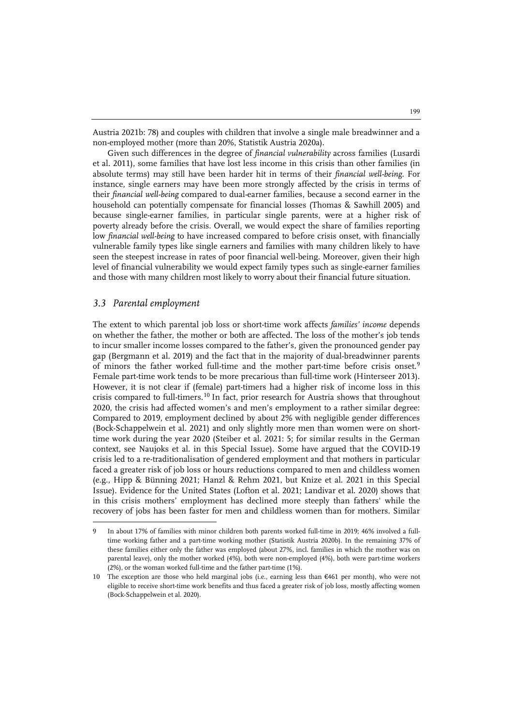Austria 2021b: 78) and couples with children that involve a single male breadwinner and a non-employed mother (more than 20%, Statistik Austria 2020a).

Given such differences in the degree of *financial vulnerability* across families (Lusardi et al. 2011), some families that have lost less income in this crisis than other families (in absolute terms) may still have been harder hit in terms of their *financial well-being*. For instance, single earners may have been more strongly affected by the crisis in terms of their *financial well-being* compared to dual-earner families, because a second earner in the household can potentially compensate for financial losses (Thomas & Sawhill 2005) and because single-earner families, in particular single parents, were at a higher risk of poverty already before the crisis. Overall, we would expect the share of families reporting low *financial well-being* to have increased compared to before crisis onset, with financially vulnerable family types like single earners and families with many children likely to have seen the steepest increase in rates of poor financial well-being. Moreover, given their high level of financial vulnerability we would expect family types such as single-earner families and those with many children most likely to worry about their financial future situation.

#### *3.3 Parental employment*

j

The extent to which parental job loss or short-time work affects *families' income* depends on whether the father, the mother or both are affected. The loss of the mother's job tends to incur smaller income losses compared to the father's, given the pronounced gender pay gap (Bergmann et al. 2019) and the fact that in the majority of dual-breadwinner parents of minors the father worked full-time and the mother part-time before crisis onset.<sup>[9](#page-6-0)</sup> Female part-time work tends to be more precarious than full-time work (Hinterseer 2013). However, it is not clear if (female) part-timers had a higher risk of income loss in this crisis compared to full-timers.[10](#page-6-1) In fact, prior research for Austria shows that throughout 2020, the crisis had affected women's and men's employment to a rather similar degree: Compared to 2019, employment declined by about 2% with negligible gender differences (Bock-Schappelwein et al. 2021) and only slightly more men than women were on shorttime work during the year 2020 (Steiber et al. 2021: 5; for similar results in the German context, see Naujoks et al. in this Special Issue). Some have argued that the COVID-19 crisis led to a re-traditionalisation of gendered employment and that mothers in particular faced a greater risk of job loss or hours reductions compared to men and childless women (e.g., Hipp & Bünning 2021; Hanzl & Rehm 2021, but Knize et al. 2021 in this Special Issue). Evidence for the United States (Lofton et al. 2021; Landivar et al. 2020) shows that in this crisis mothers' employment has declined more steeply than fathers' while the recovery of jobs has been faster for men and childless women than for mothers. Similar

<span id="page-6-0"></span><sup>9</sup> In about 17% of families with minor children both parents worked full-time in 2019; 46% involved a fulltime working father and a part-time working mother (Statistik Austria 2020b). In the remaining 37% of these families either only the father was employed (about 27%, incl. families in which the mother was on parental leave), only the mother worked (4%), both were non-employed (4%), both were part-time workers (2%), or the woman worked full-time and the father part-time (1%).

<span id="page-6-1"></span><sup>10</sup> The exception are those who held marginal jobs (i.e., earning less than €461 per month), who were not eligible to receive short-time work benefits and thus faced a greater risk of job loss, mostly affecting women (Bock-Schappelwein et al. 2020).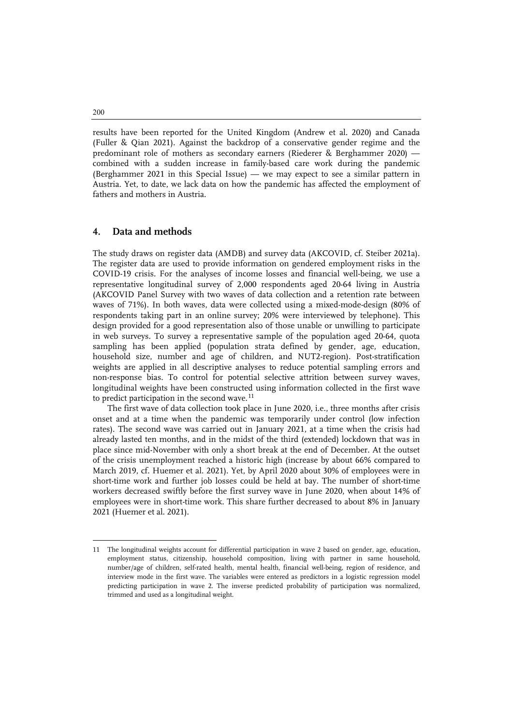results have been reported for the United Kingdom (Andrew et al. 2020) and Canada (Fuller & Qian 2021). Against the backdrop of a conservative gender regime and the predominant role of mothers as secondary earners (Riederer & Berghammer 2020) combined with a sudden increase in family-based care work during the pandemic (Berghammer 2021 in this Special Issue) — we may expect to see a similar pattern in Austria. Yet, to date, we lack data on how the pandemic has affected the employment of fathers and mothers in Austria.

#### **4. Data and methods**

The study draws on register data (AMDB) and survey data (AKCOVID, cf. Steiber 2021a). The register data are used to provide information on gendered employment risks in the COVID-19 crisis. For the analyses of income losses and financial well-being, we use a representative longitudinal survey of 2,000 respondents aged 20-64 living in Austria (AKCOVID Panel Survey with two waves of data collection and a retention rate between waves of 71%). In both waves, data were collected using a mixed-mode-design (80% of respondents taking part in an online survey; 20% were interviewed by telephone). This design provided for a good representation also of those unable or unwilling to participate in web surveys. To survey a representative sample of the population aged 20-64, quota sampling has been applied (population strata defined by gender, age, education, household size, number and age of children, and NUT2-region). Post-stratification weights are applied in all descriptive analyses to reduce potential sampling errors and non-response bias. To control for potential selective attrition between survey waves, longitudinal weights have been constructed using information collected in the first wave to predict participation in the second wave.<sup>[11](#page-7-0)</sup>

The first wave of data collection took place in June 2020, i.e., three months after crisis onset and at a time when the pandemic was temporarily under control (low infection rates). The second wave was carried out in January 2021, at a time when the crisis had already lasted ten months, and in the midst of the third (extended) lockdown that was in place since mid-November with only a short break at the end of December. At the outset of the crisis unemployment reached a historic high (increase by about 66% compared to March 2019, cf. Huemer et al. 2021). Yet, by April 2020 about 30% of employees were in short-time work and further job losses could be held at bay. The number of short-time workers decreased swiftly before the first survey wave in June 2020, when about 14% of employees were in short-time work. This share further decreased to about 8% in January 2021 (Huemer et al. 2021).

200

j

<span id="page-7-0"></span><sup>11</sup> The longitudinal weights account for differential participation in wave 2 based on gender, age, education, employment status, citizenship, household composition, living with partner in same household, number/age of children, self-rated health, mental health, financial well-being, region of residence, and interview mode in the first wave. The variables were entered as predictors in a logistic regression model predicting participation in wave 2. The inverse predicted probability of participation was normalized, trimmed and used as a longitudinal weight.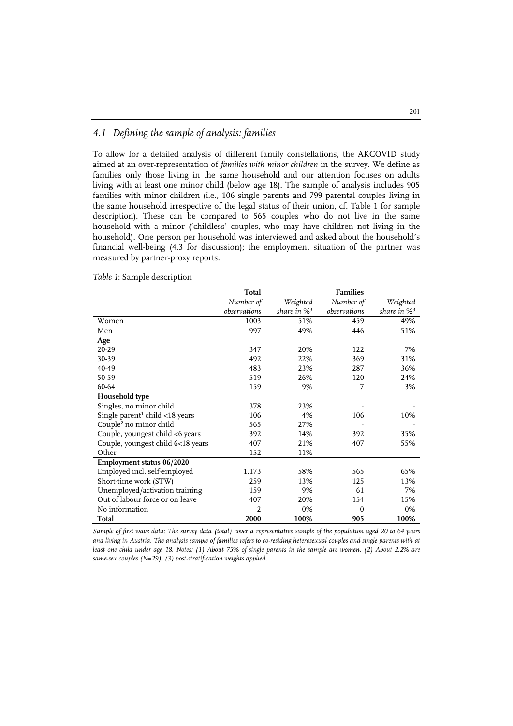## *4.1 Defining the sample of analysis: families*

To allow for a detailed analysis of different family constellations, the AKCOVID study aimed at an over-representation of *families with minor children* in the survey. We define as families only those living in the same household and our attention focuses on adults living with at least one minor child (below age 18). The sample of analysis includes 905 families with minor children (i.e., 106 single parents and 799 parental couples living in the same household irrespective of the legal status of their union, cf. Table 1 for sample description). These can be compared to 565 couples who do not live in the same household with a minor ('childless' couples, who may have children not living in the household). One person per household was interviewed and asked about the household's financial well-being (4.3 for discussion); the employment situation of the partner was measured by partner-proxy reports.

|                                            | Total        |                            | <b>Families</b> |                            |
|--------------------------------------------|--------------|----------------------------|-----------------|----------------------------|
|                                            | Number of    | Weighted                   | Number of       | Weighted                   |
|                                            | observations | share in $\%$ <sup>3</sup> | observations    | share in $\%$ <sup>3</sup> |
| Women                                      | 1003         | 51%                        | 459             | 49%                        |
| Men                                        | 997          | 49%                        | 446             | 51%                        |
| Age                                        |              |                            |                 |                            |
| 20-29                                      | 347          | 20%                        | 122             | 7%                         |
| 30-39                                      | 492          | 22%                        | 369             | 31%                        |
| 40-49                                      | 483          | 23%                        | 287             | 36%                        |
| 50-59                                      | 519          | 26%                        | 120             | 24%                        |
| 60-64                                      | 159          | 9%                         | 7               | 3%                         |
| Household type                             |              |                            |                 |                            |
| Singles, no minor child                    | 378          | 23%                        |                 |                            |
| Single parent <sup>1</sup> child <18 years | 106          | 4%                         | 106             | 10%                        |
| Couple <sup>2</sup> no minor child         | 565          | 27%                        |                 |                            |
| Couple, youngest child <6 years            | 392          | 14%                        | 392             | 35%                        |
| Couple, youngest child 6<18 years          | 407          | 21%                        | 407             | 55%                        |
| Other                                      | 152          | 11%                        |                 |                            |
| Employment status 06/2020                  |              |                            |                 |                            |
| Employed incl. self-employed               | 1.173        | 58%                        | 565             | 65%                        |
| Short-time work (STW)                      | 259          | 13%                        | 125             | 13%                        |
| Unemployed/activation training             | 159          | 9%                         | 61              | 7%                         |
| Out of labour force or on leave            | 407          | 20%                        | 154             | 15%                        |
| No information                             | 2            | 0%                         | $\mathbf{0}$    | 0%                         |
| Total                                      | 2000         | 100%                       | 905             | 100%                       |

*Table 1*: Sample description

*Sample of first wave data: The survey data (total) cover a representative sample of the population aged 20 to 64 years and living in Austria. The analysis sample of families refers to co-residing heterosexual couples and single parents with at least one child under age 18. Notes: (1) About 75% of single parents in the sample are women. (2) About 2.2% are same-sex couples (N=29). (3) post-stratification weights applied.*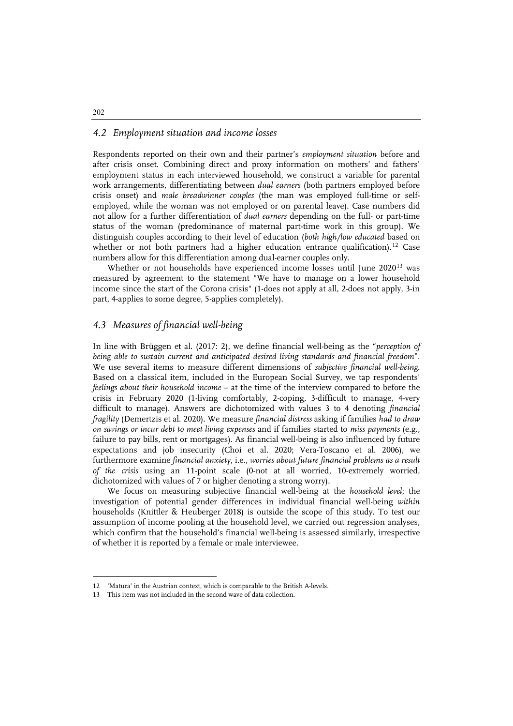#### *4.2 Employment situation and income losses*

Respondents reported on their own and their partner's *employment situation* before and after crisis onset. Combining direct and proxy information on mothers' and fathers' employment status in each interviewed household, we construct a variable for parental work arrangements, differentiating between *dual earners* (both partners employed before crisis onset) and *male breadwinner couples* (the man was employed full-time or selfemployed, while the woman was not employed or on parental leave). Case numbers did not allow for a further differentiation of *dual earners* depending on the full- or part-time status of the woman (predominance of maternal part-time work in this group). We distinguish couples according to their level of education (*both high/low educated* based on whether or not both partners had a higher education entrance qualification).<sup>[12](#page-9-0)</sup> Case numbers allow for this differentiation among dual-earner couples only.

Whether or not households have experienced income losses until June 2020<sup>[13](#page-9-1)</sup> was measured by agreement to the statement "We have to manage on a lower household income since the start of the Corona crisis" (1-does not apply at all, 2-does not apply, 3-in part, 4-applies to some degree, 5-applies completely).

## *4.3 Measures of financial well-being*

In line with Brüggen et al. (2017: 2), we define financial well-being as the "*perception of being able to sustain current and anticipated desired living standards and financial freedom*". We use several items to measure different dimensions of *subjective financial well-being*. Based on a classical item, included in the European Social Survey, we tap respondents' *feelings about their household income* – at the time of the interview compared to before the crisis in February 2020 (1-living comfortably, 2-coping, 3-difficult to manage, 4-very difficult to manage). Answers are dichotomized with values 3 to 4 denoting *financial fragility* (Demertzis et al. 2020). We measure *financial distress* asking if families *had to draw on savings or incur debt to meet living expenses* and if families started to *miss payments* (e.g., failure to pay bills, rent or mortgages). As financial well-being is also influenced by future expectations and job insecurity (Choi et al. 2020; Vera-Toscano et al. 2006), we furthermore examine *financial anxiety*, i.e., *worries about future financial problems as a result of the crisis* using an 11-point scale (0-not at all worried, 10-extremely worried, dichotomized with values of 7 or higher denoting a strong worry).

We focus on measuring subjective financial well-being at the *household level*; the investigation of potential gender differences in individual financial well-being *within* households (Knittler & Heuberger 2018) is outside the scope of this study. To test our assumption of income pooling at the household level, we carried out regression analyses, which confirm that the household's financial well-being is assessed similarly, irrespective of whether it is reported by a female or male interviewee.

#### 202

j

<span id="page-9-1"></span><span id="page-9-0"></span><sup>12 &#</sup>x27;Matura' in the Austrian context, which is comparable to the British A-levels.

This item was not included in the second wave of data collection.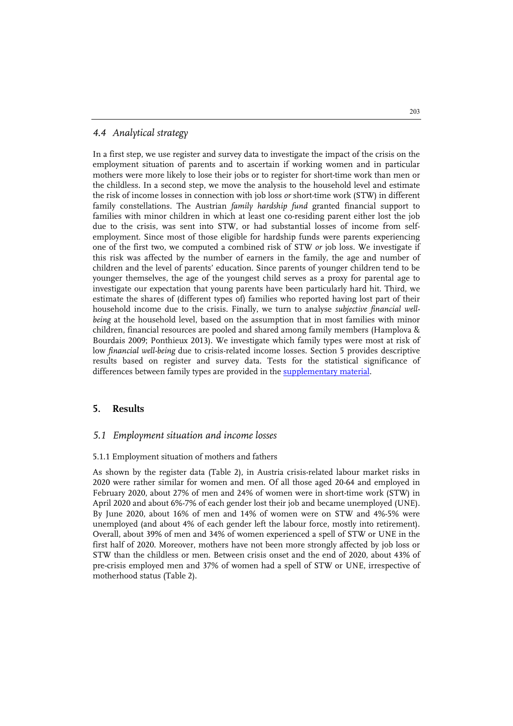#### *4.4 Analytical strategy*

In a first step, we use register and survey data to investigate the impact of the crisis on the employment situation of parents and to ascertain if working women and in particular mothers were more likely to lose their jobs or to register for short-time work than men or the childless. In a second step, we move the analysis to the household level and estimate the risk of income losses in connection with job loss *or* short-time work (STW) in different family constellations. The Austrian *family hardship fund* granted financial support to families with minor children in which at least one co-residing parent either lost the job due to the crisis, was sent into STW, or had substantial losses of income from selfemployment. Since most of those eligible for hardship funds were parents experiencing one of the first two, we computed a combined risk of STW *or* job loss. We investigate if this risk was affected by the number of earners in the family, the age and number of children and the level of parents' education. Since parents of younger children tend to be younger themselves, the age of the youngest child serves as a proxy for parental age to investigate our expectation that young parents have been particularly hard hit. Third, we estimate the shares of (different types of) families who reported having lost part of their household income due to the crisis. Finally, we turn to analyse *subjective financial wellbeing* at the household level, based on the assumption that in most families with minor children, financial resources are pooled and shared among family members (Hamplova & Bourdais 2009; Ponthieux 2013). We investigate which family types were most at risk of low *financial well-being* due to crisis-related income losses. Section 5 provides descriptive results based on register and survey data. Tests for the statistical significance of differences between family types are provided in the **supplementary material**.

#### **5. Results**

#### *5.1 Employment situation and income losses*

#### 5.1.1 Employment situation of mothers and fathers

As shown by the register data (Table 2), in Austria crisis-related labour market risks in 2020 were rather similar for women and men. Of all those aged 20-64 and employed in February 2020, about 27% of men and 24% of women were in short-time work (STW) in April 2020 and about 6%-7% of each gender lost their job and became unemployed (UNE). By June 2020, about 16% of men and 14% of women were on STW and 4%-5% were unemployed (and about 4% of each gender left the labour force, mostly into retirement). Overall, about 39% of men and 34% of women experienced a spell of STW or UNE in the first half of 2020. Moreover, mothers have not been more strongly affected by job loss or STW than the childless or men. Between crisis onset and the end of 2020, about 43% of pre-crisis employed men and 37% of women had a spell of STW or UNE, irrespective of motherhood status (Table 2).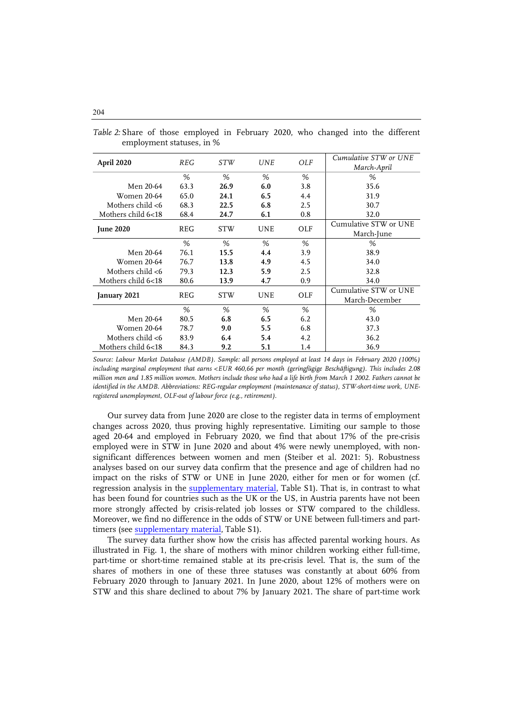|  |  | Table 2: Share of those employed in February 2020, who changed into the different |  |  |  |  |
|--|--|-----------------------------------------------------------------------------------|--|--|--|--|
|  |  | employment statuses, in %                                                         |  |  |  |  |

| April 2020          | REG  | <i>STW</i> | <b>UNE</b> | OLF | Cumulative STW or UNE<br>March-April |
|---------------------|------|------------|------------|-----|--------------------------------------|
|                     | %    | %          | %          | %   | %                                    |
| Men 20-64           | 63.3 | 26.9       | 6.0        | 3.8 | 35.6                                 |
| <b>Women 20-64</b>  | 65.0 | 24.1       | 6.5        | 4.4 | 31.9                                 |
| Mothers child $<$ 6 | 68.3 | 22.5       | 6.8        | 2.5 | 30.7                                 |
| Mothers child 6<18  | 68.4 | 24.7       | 6.1        | 0.8 | 32.0                                 |
|                     | REG  | <b>STW</b> | <b>UNE</b> | OLF | Cumulative STW or UNE                |
| <b>June 2020</b>    |      |            |            |     | March-June                           |
|                     | %    | %          | %          | %   | %                                    |
| Men 20-64           | 76.1 | 15.5       | 4.4        | 3.9 | 38.9                                 |
| <b>Women 20-64</b>  | 76.7 | 13.8       | 4.9        | 4.5 | 34.0                                 |
| Mothers child $<$ 6 | 79.3 | 12.3       | 5.9        | 2.5 | 32.8                                 |
| Mothers child 6<18  | 80.6 | 13.9       | 4.7        | 0.9 | 34.0                                 |
| January 2021        | REG  | <b>STW</b> | UNE        | OLF | Cumulative STW or UNE                |
|                     |      |            |            |     | March-December                       |
|                     | %    | %          | %          | %   | %                                    |
| Men 20-64           | 80.5 | 6.8        | 6.5        | 6.2 | 43.0                                 |
| <b>Women 20-64</b>  | 78.7 | 9.0        | 5.5        | 6.8 | 37.3                                 |
| Mothers child $<$ 6 | 83.9 | 6.4        | 5.4        | 4.2 | 36.2                                 |
| Mothers child 6<18  | 84.3 | 9.2        | 5.1        | 1.4 | 36.9                                 |

*Source: Labour Market Database (AMDB). Sample: all persons employed at least 14 days in February 2020 (100%) including marginal employment that earns <EUR 460,66 per month (geringfügige Beschäftigung). This includes 2.08 million men and 1.85 million women. Mothers include those who had a life birth from March 1 2002. Fathers cannot be identified in the AMDB. Abbreviations: REG-regular employment (maintenance of status), STW-short-time work, UNEregistered unemployment, OLF-out of labour force (e.g., retirement).*

Our survey data from June 2020 are close to the register data in terms of employment changes across 2020, thus proving highly representative. Limiting our sample to those aged 20-64 and employed in February 2020, we find that about 17% of the pre-crisis employed were in STW in June 2020 and about 4% were newly unemployed, with nonsignificant differences between women and men (Steiber et al. 2021: 5). Robustness analyses based on our survey data confirm that the presence and age of children had no impact on the risks of STW or UNE in June 2020, either for men or for women (cf. regression analysis in the [supplementary material,](https://doi.org/10.20377/jfr-721-624) Table S1). That is, in contrast to what has been found for countries such as the UK or the US, in Austria parents have not been more strongly affected by crisis-related job losses or STW compared to the childless. Moreover, we find no difference in the odds of STW or UNE between full-timers and parttimers (see [supplementary material,](https://doi.org/10.20377/jfr-721-624) Table S1).

The survey data further show how the crisis has affected parental working hours. As illustrated in Fig. 1, the share of mothers with minor children working either full-time, part-time or short-time remained stable at its pre-crisis level. That is, the sum of the shares of mothers in one of these three statuses was constantly at about 60% from February 2020 through to January 2021. In June 2020, about 12% of mothers were on STW and this share declined to about 7% by January 2021. The share of part-time work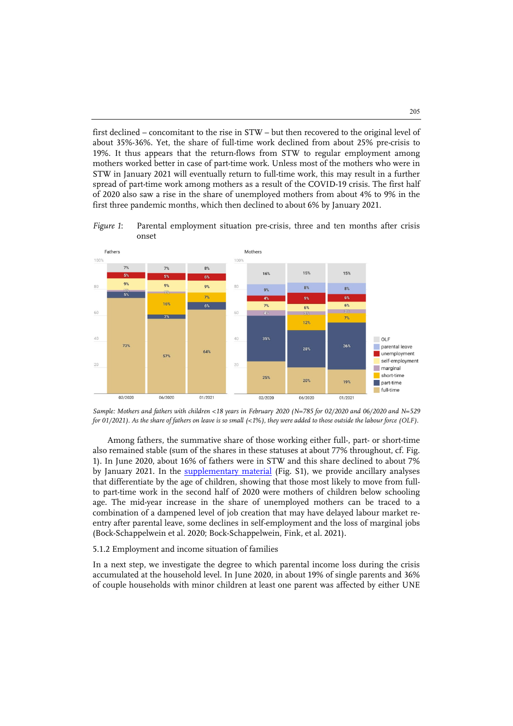first declined – concomitant to the rise in STW – but then recovered to the original level of about 35%-36%. Yet, the share of full-time work declined from about 25% pre-crisis to 19%. It thus appears that the return-flows from STW to regular employment among mothers worked better in case of part-time work. Unless most of the mothers who were in STW in January 2021 will eventually return to full-time work, this may result in a further spread of part-time work among mothers as a result of the COVID-19 crisis. The first half of 2020 also saw a rise in the share of unemployed mothers from about 4% to 9% in the first three pandemic months, which then declined to about 6% by January 2021.

*Figure 1*: Parental employment situation pre-crisis, three and ten months after crisis onset



*Sample: Mothers and fathers with children <18 years in February 2020 (N=785 for 02/2020 and 06/2020 and N=529 for 01/2021). As the share of fathers on leave is so small (<1%), they were added to those outside the labour force (OLF).*

Among fathers, the summative share of those working either full-, part- or short-time also remained stable (sum of the shares in these statuses at about 77% throughout, cf. Fig. 1). In June 2020, about 16% of fathers were in STW and this share declined to about 7% by January 2021. In the [supplementary material](https://doi.org/10.20377/jfr-721-624) (Fig. S1), we provide ancillary analyses that differentiate by the age of children, showing that those most likely to move from fullto part-time work in the second half of 2020 were mothers of children below schooling age. The mid-year increase in the share of unemployed mothers can be traced to a combination of a dampened level of job creation that may have delayed labour market reentry after parental leave, some declines in self-employment and the loss of marginal jobs (Bock-Schappelwein et al. 2020; Bock-Schappelwein, Fink, et al. 2021).

#### 5.1.2 Employment and income situation of families

In a next step, we investigate the degree to which parental income loss during the crisis accumulated at the household level. In June 2020, in about 19% of single parents and 36% of couple households with minor children at least one parent was affected by either UNE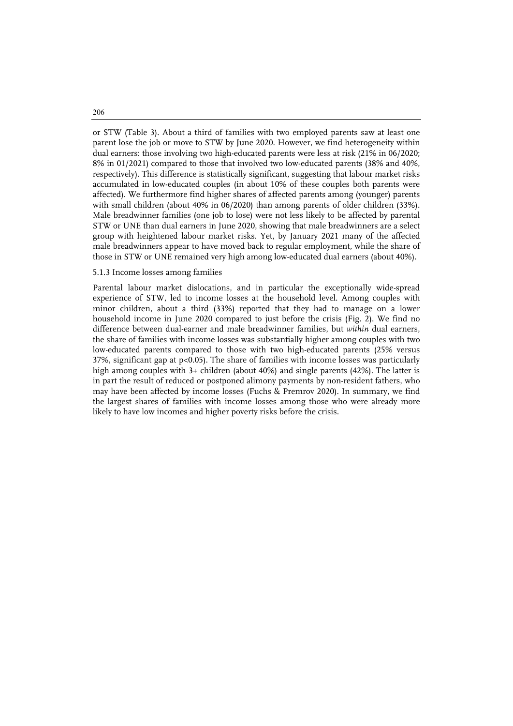or STW (Table 3). About a third of families with two employed parents saw at least one parent lose the job or move to STW by June 2020. However, we find heterogeneity within dual earners: those involving two high-educated parents were less at risk (21% in 06/2020; 8% in 01/2021) compared to those that involved two low-educated parents (38% and 40%, respectively). This difference is statistically significant, suggesting that labour market risks accumulated in low-educated couples (in about 10% of these couples both parents were affected). We furthermore find higher shares of affected parents among (younger) parents with small children (about 40% in 06/2020) than among parents of older children (33%). Male breadwinner families (one job to lose) were not less likely to be affected by parental STW or UNE than dual earners in June 2020, showing that male breadwinners are a select group with heightened labour market risks. Yet, by January 2021 many of the affected male breadwinners appear to have moved back to regular employment, while the share of those in STW or UNE remained very high among low-educated dual earners (about 40%).

#### 5.1.3 Income losses among families

Parental labour market dislocations, and in particular the exceptionally wide-spread experience of STW, led to income losses at the household level. Among couples with minor children, about a third (33%) reported that they had to manage on a lower household income in June 2020 compared to just before the crisis (Fig. 2). We find no difference between dual-earner and male breadwinner families, but *within* dual earners, the share of families with income losses was substantially higher among couples with two low-educated parents compared to those with two high-educated parents (25% versus 37%, significant gap at p<0.05). The share of families with income losses was particularly high among couples with 3+ children (about 40%) and single parents (42%). The latter is in part the result of reduced or postponed alimony payments by non-resident fathers, who may have been affected by income losses (Fuchs & Premrov 2020). In summary, we find the largest shares of families with income losses among those who were already more likely to have low incomes and higher poverty risks before the crisis.

206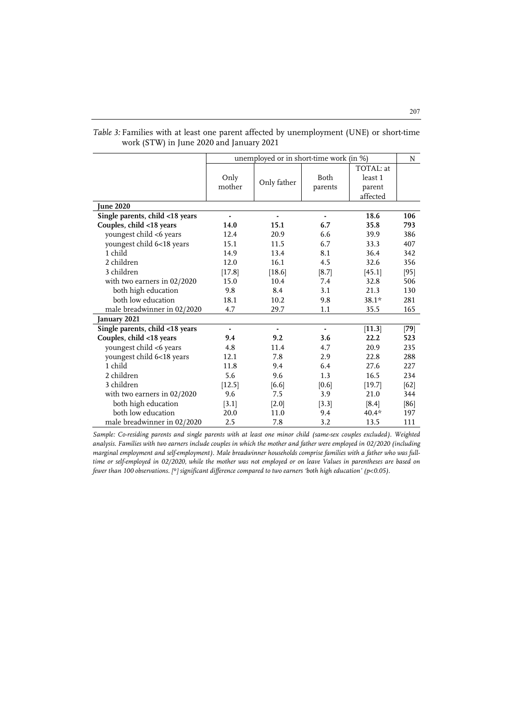|                                 | unemployed or in short-time work (in %) |                |                 |                                            |        |  |
|---------------------------------|-----------------------------------------|----------------|-----------------|--------------------------------------------|--------|--|
|                                 | Only<br>mother                          | Only father    | Both<br>parents | TOTAL: at<br>least 1<br>parent<br>affected |        |  |
| <b>June 2020</b>                |                                         |                |                 |                                            |        |  |
| Single parents, child <18 years | ä,                                      | $\blacksquare$ | ä,              | 18.6                                       | 106    |  |
| Couples, child <18 years        | 14.0                                    | 15.1           | 6.7             | 35.8                                       | 793    |  |
| youngest child <6 years         | 12.4                                    | 20.9           | 6.6             | 39.9                                       | 386    |  |
| youngest child 6<18 years       | 15.1                                    | 11.5           | 6.7             | 33.3                                       | 407    |  |
| 1 child                         | 14.9                                    | 13.4           | 8.1             | 36.4                                       | 342    |  |
| 2 children                      | 12.0                                    | 16.1           | 4.5             | 32.6                                       | 356    |  |
| 3 children                      | [17.8]                                  | [18.6]         | [8.7]           | [45.1]                                     | [95]   |  |
| with two earners in 02/2020     | 15.0                                    | 10.4           | 7.4             | 32.8                                       | 506    |  |
| both high education             | 9.8                                     | 8.4            | 3.1             | 21.3                                       | 130    |  |
| both low education              | 18.1                                    | 10.2           | 9.8             | $38.1*$                                    | 281    |  |
| male breadwinner in 02/2020     | 4.7                                     | 29.7           | 1.1             | 35.5                                       | 165    |  |
| January 2021                    |                                         |                |                 |                                            |        |  |
| Single parents, child <18 years | ٠                                       | ٠              | ٠               | [11.3]                                     | $[79]$ |  |
| Couples, child <18 years        | 9.4                                     | 9.2            | 3.6             | 22.2                                       | 523    |  |
| youngest child <6 years         | 4.8                                     | 11.4           | 4.7             | 20.9                                       | 235    |  |
| youngest child 6<18 years       | 12.1                                    | 7.8            | 2.9             | 22.8                                       | 288    |  |
| 1 child                         | 11.8                                    | 9.4            | 6.4             | 27.6                                       | 227    |  |
| 2 children                      | 5.6                                     | 9.6            | 1.3             | 16.5                                       | 234    |  |
| 3 children                      | [12.5]                                  | [6.6]          | [0.6]           | [19.7]                                     | $[62]$ |  |
| with two earners in $02/2020$   | 9.6                                     | 7.5            | 3.9             | 21.0                                       | 344    |  |
| both high education             | [3.1]                                   | [2.0]          | [3.3]           | [8.4]                                      | $[86]$ |  |
| both low education              | 20.0                                    | 11.0           | 9.4             | $40.4*$                                    | 197    |  |
| male breadwinner in 02/2020     | 2.5                                     | 7.8            | 3.2             | 13.5                                       | 111    |  |

*Table 3:* Families with at least one parent affected by unemployment (UNE) or short-time work (STW) in June 2020 and January 2021

Sample: Co-residing parents and single parents with at least one minor child (same-sex couples excluded). Weighted *analysis. Families with two earners include couples in which the mother and father were employed in 02/2020 (including marginal employment and self-employment). Male breadwinner households comprise families with a father who was fulltime or self-employed in 02/2020, while the mother was not employed or on leave Values in parentheses are based on fewer than 100 observations. [\*] significant difference compared to two earners 'both high education' (p<0.05).*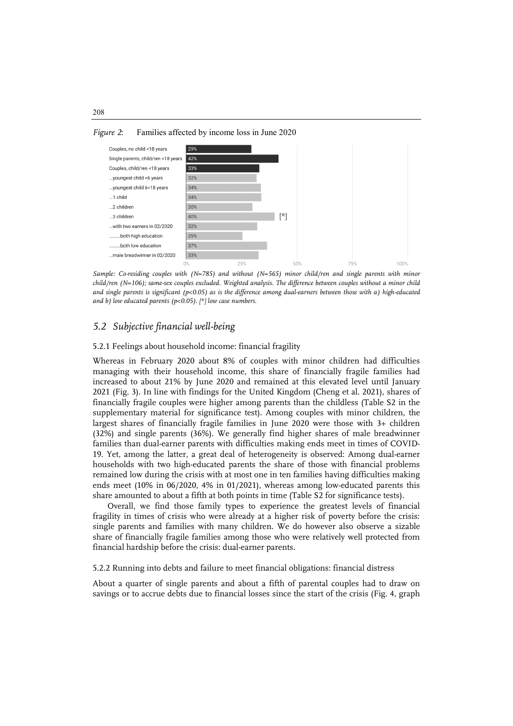



*Sample: Co-residing couples with (N=785) and without (N=565) minor child/ren and single parents with minor child/ren (N=106); same-sex couples excluded. Weighted analysis. The difference between couples without a minor child and single parents is significant (p<0.05) as is the difference among dual-earners between those with a) high-educated and b) low educated parents (p<0.05). [\*] low case numbers.*

# *5.2 Subjective financial well-being*

5.2.1 Feelings about household income: financial fragility

Whereas in February 2020 about 8% of couples with minor children had difficulties managing with their household income, this share of financially fragile families had increased to about 21% by June 2020 and remained at this elevated level until January 2021 (Fig. 3). In line with findings for the United Kingdom (Cheng et al. 2021), shares of financially fragile couples were higher among parents than the childless (Table S2 in the supplementary material for significance test). Among couples with minor children, the largest shares of financially fragile families in June 2020 were those with 3+ children (32%) and single parents (36%). We generally find higher shares of male breadwinner families than dual-earner parents with difficulties making ends meet in times of COVID-19. Yet, among the latter, a great deal of heterogeneity is observed: Among dual-earner households with two high-educated parents the share of those with financial problems remained low during the crisis with at most one in ten families having difficulties making ends meet (10% in 06/2020, 4% in 01/2021), whereas among low-educated parents this share amounted to about a fifth at both points in time (Table S2 for significance tests).

Overall, we find those family types to experience the greatest levels of financial fragility in times of crisis who were already at a higher risk of poverty before the crisis: single parents and families with many children. We do however also observe a sizable share of financially fragile families among those who were relatively well protected from financial hardship before the crisis: dual-earner parents.

5.2.2 Running into debts and failure to meet financial obligations: financial distress

About a quarter of single parents and about a fifth of parental couples had to draw on savings or to accrue debts due to financial losses since the start of the crisis (Fig. 4, graph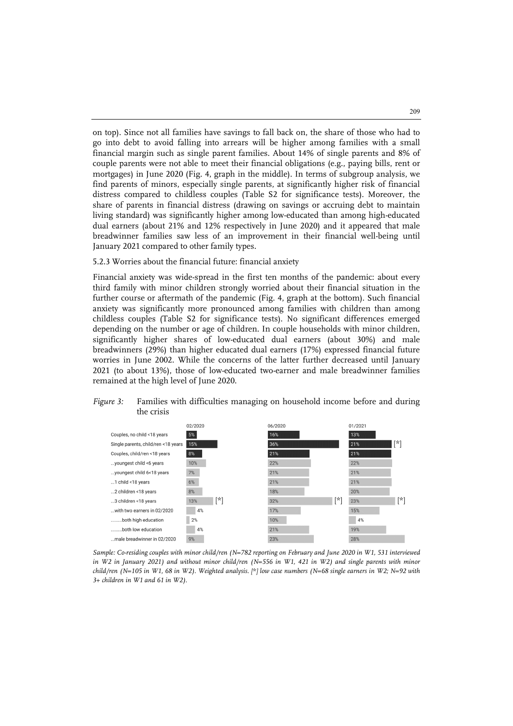on top). Since not all families have savings to fall back on, the share of those who had to go into debt to avoid falling into arrears will be higher among families with a small financial margin such as single parent families. About 14% of single parents and 8% of couple parents were not able to meet their financial obligations (e.g., paying bills, rent or mortgages) in June 2020 (Fig. 4, graph in the middle). In terms of subgroup analysis, we find parents of minors, especially single parents, at significantly higher risk of financial distress compared to childless couples (Table S2 for significance tests). Moreover, the share of parents in financial distress (drawing on savings or accruing debt to maintain living standard) was significantly higher among low-educated than among high-educated dual earners (about 21% and 12% respectively in June 2020) and it appeared that male breadwinner families saw less of an improvement in their financial well-being until January 2021 compared to other family types.

#### 5.2.3 Worries about the financial future: financial anxiety

Financial anxiety was wide-spread in the first ten months of the pandemic: about every third family with minor children strongly worried about their financial situation in the further course or aftermath of the pandemic (Fig. 4, graph at the bottom). Such financial anxiety was significantly more pronounced among families with children than among childless couples (Table S2 for significance tests). No significant differences emerged depending on the number or age of children. In couple households with minor children, significantly higher shares of low-educated dual earners (about 30%) and male breadwinners (29%) than higher educated dual earners (17%) expressed financial future worries in June 2002. While the concerns of the latter further decreased until January 2021 (to about 13%), those of low-educated two-earner and male breadwinner families remained at the high level of June 2020.

#### *Figure 3:* Families with difficulties managing on household income before and during the crisis



*Sample: Co-residing couples with minor child/ren (N=782 reporting on February and June 2020 in W1, 531 interviewed in W2 in January 2021) and without minor child/ren (N=556 in W1, 421 in W2) and single parents with minor child/ren (N=105 in W1, 68 in W2). Weighted analysis. [\*] low case numbers (N=68 single earners in W2; N=92 with 3+ children in W1 and 61 in W2).*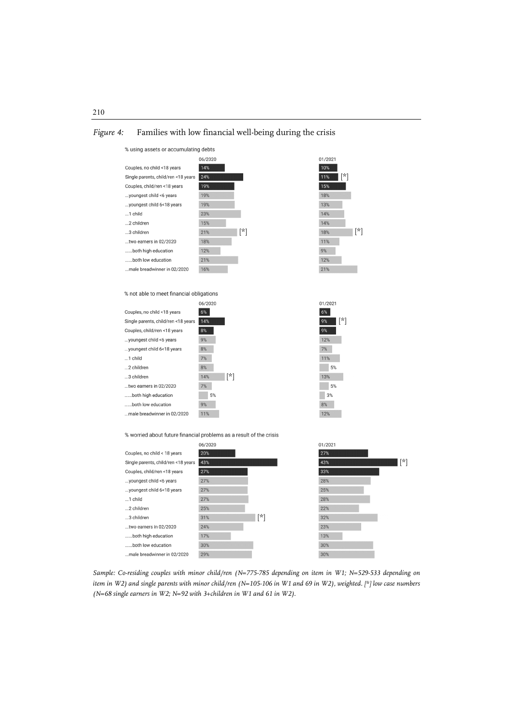## *Figure 4:* Families with low financial well-being during the crisis



% worried about future financial problems as a result of the crisis

|                                     | 06/2020 |     | 01/2021 |     |
|-------------------------------------|---------|-----|---------|-----|
| Couples, no child < 18 years        | 20%     |     | 27%     |     |
| Single parents, child/ren <18 years | 43%     |     | 43%     | [*] |
| Couples, child/ren <18 years        | 27%     |     | 33%     |     |
| youngest child <6 years             | 27%     |     | 28%     |     |
| youngest child 6<18 years           | 27%     |     | 25%     |     |
| 1 child                             | 27%     |     | 28%     |     |
| 2 children                          | 25%     |     | 22%     |     |
| 3 children                          | 31%     | [*] | 32%     |     |
| two earners in 02/2020              | 24%     |     | 23%     |     |
| both high education                 | 17%     |     | 13%     |     |
| both low education                  | 30%     |     | 30%     |     |
| male breadwinner in 02/2020         | 29%     |     | 30%     |     |
|                                     |         |     |         |     |

Sample: Co-residing couples with minor child/ren (N=775-785 depending on item in W1; N=529-533 depending on *item in W2) and single parents with minor child/ren (N=105-106 in W1 and 69 in W2), weighted. [\*] low case numbers (N=68 single earners in W2; N=92 with 3+children in W1 and 61 in W2).*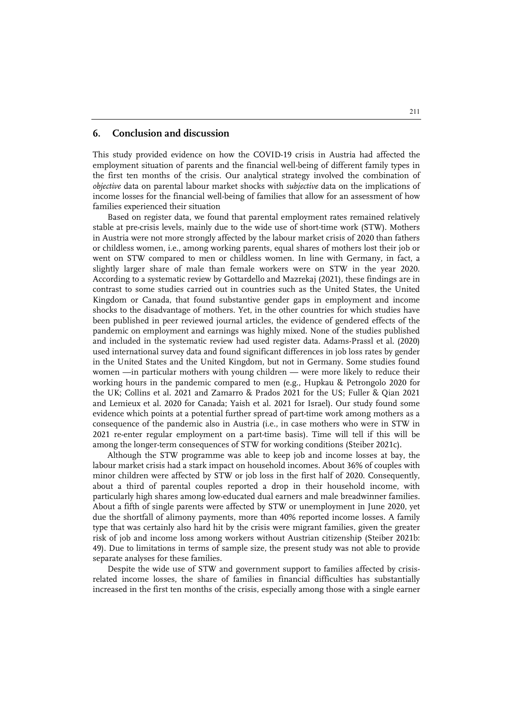#### **6. Conclusion and discussion**

This study provided evidence on how the COVID-19 crisis in Austria had affected the employment situation of parents and the financial well-being of different family types in the first ten months of the crisis. Our analytical strategy involved the combination of *objective* data on parental labour market shocks with *subjective* data on the implications of income losses for the financial well-being of families that allow for an assessment of how families experienced their situation

Based on register data, we found that parental employment rates remained relatively stable at pre-crisis levels, mainly due to the wide use of short-time work (STW). Mothers in Austria were not more strongly affected by the labour market crisis of 2020 than fathers or childless women, i.e., among working parents, equal shares of mothers lost their job or went on STW compared to men or childless women. In line with Germany, in fact, a slightly larger share of male than female workers were on STW in the year 2020. According to a systematic review by Gottardello and Mazrekaj (2021), these findings are in contrast to some studies carried out in countries such as the United States, the United Kingdom or Canada, that found substantive gender gaps in employment and income shocks to the disadvantage of mothers. Yet, in the other countries for which studies have been published in peer reviewed journal articles, the evidence of gendered effects of the pandemic on employment and earnings was highly mixed. None of the studies published and included in the systematic review had used register data. Adams-Prassl et al. (2020) used international survey data and found significant differences in job loss rates by gender in the United States and the United Kingdom, but not in Germany. Some studies found women —in particular mothers with young children — were more likely to reduce their working hours in the pandemic compared to men (e.g., Hupkau & Petrongolo 2020 for the UK; Collins et al. 2021 and Zamarro & Prados 2021 for the US; Fuller & Qian 2021 and Lemieux et al. 2020 for Canada; Yaish et al. 2021 for Israel). Our study found some evidence which points at a potential further spread of part-time work among mothers as a consequence of the pandemic also in Austria (i.e., in case mothers who were in STW in 2021 re-enter regular employment on a part-time basis). Time will tell if this will be among the longer-term consequences of STW for working conditions (Steiber 2021c).

Although the STW programme was able to keep job and income losses at bay, the labour market crisis had a stark impact on household incomes. About 36% of couples with minor children were affected by STW or job loss in the first half of 2020. Consequently, about a third of parental couples reported a drop in their household income, with particularly high shares among low-educated dual earners and male breadwinner families. About a fifth of single parents were affected by STW or unemployment in June 2020, yet due the shortfall of alimony payments, more than 40% reported income losses. A family type that was certainly also hard hit by the crisis were migrant families, given the greater risk of job and income loss among workers without Austrian citizenship (Steiber 2021b: 49). Due to limitations in terms of sample size, the present study was not able to provide separate analyses for these families.

Despite the wide use of STW and government support to families affected by crisisrelated income losses, the share of families in financial difficulties has substantially increased in the first ten months of the crisis, especially among those with a single earner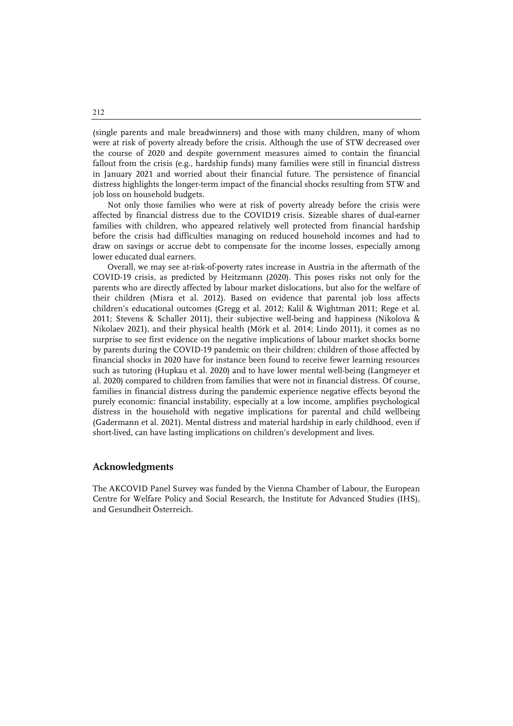(single parents and male breadwinners) and those with many children, many of whom were at risk of poverty already before the crisis. Although the use of STW decreased over the course of 2020 and despite government measures aimed to contain the financial fallout from the crisis (e.g., hardship funds) many families were still in financial distress in January 2021 and worried about their financial future. The persistence of financial distress highlights the longer-term impact of the financial shocks resulting from STW and job loss on household budgets.

Not only those families who were at risk of poverty already before the crisis were affected by financial distress due to the COVID19 crisis. Sizeable shares of dual-earner families with children, who appeared relatively well protected from financial hardship before the crisis had difficulties managing on reduced household incomes and had to draw on savings or accrue debt to compensate for the income losses, especially among lower educated dual earners.

Overall, we may see at-risk-of-poverty rates increase in Austria in the aftermath of the COVID-19 crisis, as predicted by Heitzmann (2020). This poses risks not only for the parents who are directly affected by labour market dislocations, but also for the welfare of their children (Misra et al. 2012). Based on evidence that parental job loss affects children's educational outcomes (Gregg et al. 2012; Kalil & Wightman 2011; Rege et al. 2011; Stevens & Schaller 2011), their subjective well-being and happiness (Nikolova & Nikolaev 2021), and their physical health (Mörk et al. 2014; Lindo 2011), it comes as no surprise to see first evidence on the negative implications of labour market shocks borne by parents during the COVID-19 pandemic on their children: children of those affected by financial shocks in 2020 have for instance been found to receive fewer learning resources such as tutoring (Hupkau et al. 2020) and to have lower mental well-being (Langmeyer et al. 2020) compared to children from families that were not in financial distress. Of course, families in financial distress during the pandemic experience negative effects beyond the purely economic: financial instability, especially at a low income, amplifies psychological distress in the household with negative implications for parental and child wellbeing (Gadermann et al. 2021). Mental distress and material hardship in early childhood, even if short-lived, can have lasting implications on children's development and lives.

# **Acknowledgments**

The AKCOVID Panel Survey was funded by the Vienna Chamber of Labour, the European Centre for Welfare Policy and Social Research, the Institute for Advanced Studies (IHS), and Gesundheit Österreich.

212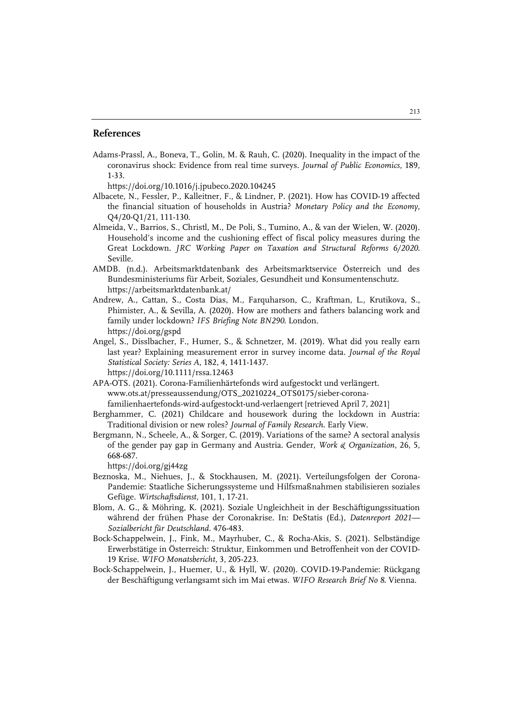## **References**

Adams-Prassl, A., Boneva, T., Golin, M. & Rauh, C. (2020). Inequality in the impact of the coronavirus shock: Evidence from real time surveys. *Journal of Public Economics*, 189, 1-33.

https://doi.org/10.1016/j.jpubeco.2020.104245

- Albacete, N., Fessler, P., Kalleitner, F., & Lindner, P. (2021). How has COVID-19 affected the financial situation of households in Austria? *Monetary Policy and the Economy*, Q4/20-Q1/21, 111-130.
- Almeida, V., Barrios, S., Christl, M., De Poli, S., Tumino, A., & van der Wielen, W. (2020). Household's income and the cushioning effect of fiscal policy measures during the Great Lockdown. *JRC Working Paper on Taxation and Structural Reforms 6/2020*. Seville.
- AMDB. (n.d.). Arbeitsmarktdatenbank des Arbeitsmarktservice Österreich und des Bundesministeriums für Arbeit, Soziales, Gesundheit und Konsumentenschutz. https://arbeitsmarktdatenbank.at/
- Andrew, A., Cattan, S., Costa Dias, M., Farquharson, C., Kraftman, L., Krutikova, S., Phimister, A., & Sevilla, A. (2020). How are mothers and fathers balancing work and family under lockdown? *IFS Briefing Note BN290*. London. https://doi.org/gspd
- Angel, S., Disslbacher, F., Humer, S., & Schnetzer, M. (2019). What did you really earn last year? Explaining measurement error in survey income data. *Journal of the Royal Statistical Society: Series A*, 182, 4, 1411-1437. https://doi.org/10.1111/rssa.12463
- APA-OTS. (2021). Corona-Familienhärtefonds wird aufgestockt und verlängert. www.ots.at/presseaussendung/OTS\_20210224\_OTS0175/sieber-coronafamilienhaertefonds-wird-aufgestockt-und-verlaengert [retrieved April 7, 2021]
- Berghammer, C. (2021) Childcare and housework during the lockdown in Austria: Traditional division or new roles? *Journal of Family Research*. Early View.
- Bergmann, N., Scheele, A., & Sorger, C. (2019). Variations of the same? A sectoral analysis of the gender pay gap in Germany and Austria. Gender, *Work & Organization*, 26, 5, 668-687.

https://doi.org/gj44zg

- Beznoska, M., Niehues, J., & Stockhausen, M. (2021). Verteilungsfolgen der Corona-Pandemie: Staatliche Sicherungssysteme und Hilfsmaßnahmen stabilisieren soziales Gefüge. *Wirtschaftsdienst*, 101, 1, 17-21.
- Blom, A. G., & Möhring, K. (2021). Soziale Ungleichheit in der Beschäftigungssituation während der frühen Phase der Coronakrise. In: DeStatis (Ed.), *Datenreport 2021— Sozialbericht für Deutschland*. 476-483.
- Bock-Schappelwein, J., Fink, M., Mayrhuber, C., & Rocha-Akis, S. (2021). Selbständige Erwerbstätige in Österreich: Struktur, Einkommen und Betroffenheit von der COVID-19 Krise. *WIFO Monatsbericht*, 3, 205-223.
- Bock-Schappelwein, J., Huemer, U., & Hyll, W. (2020). COVID-19-Pandemie: Rückgang der Beschäftigung verlangsamt sich im Mai etwas. *WIFO Research Brief No 8*. Vienna.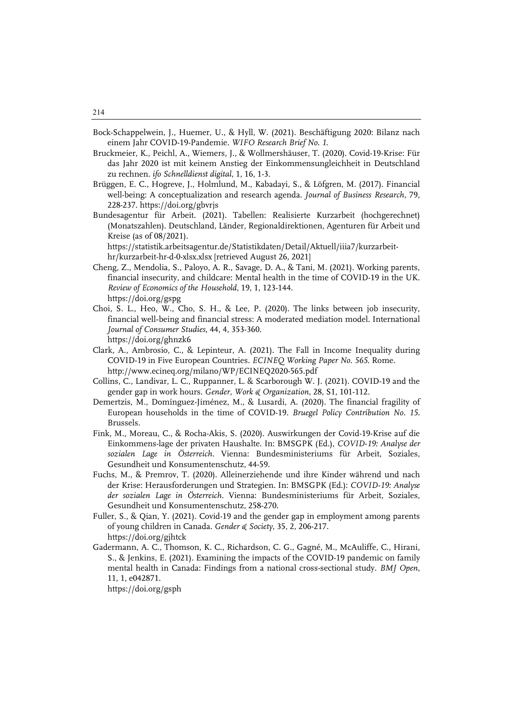- Bock-Schappelwein, J., Huemer, U., & Hyll, W. (2021). Beschäftigung 2020: Bilanz nach einem Jahr COVID-19-Pandemie*. WIFO Research Brief No. 1*.
- Bruckmeier, K., Peichl, A., Wiemers, J., & Wollmershäuser, T. (2020). Covid-19-Krise: Für das Jahr 2020 ist mit keinem Anstieg der Einkommensungleichheit in Deutschland zu rechnen. *ifo Schnelldienst digital*, 1, 16, 1-3.
- Brüggen, E. C., Hogreve, J., Holmlund, M., Kabadayi, S., & Löfgren, M. (2017). Financial well-being: A conceptualization and research agenda. *Journal of Business Research*, 79, 228-237. https://doi.org/gbvrjs
- Bundesagentur für Arbeit. (2021). Tabellen: Realisierte Kurzarbeit (hochgerechnet) (Monatszahlen). Deutschland, Länder, Regionaldirektionen, Agenturen für Arbeit und Kreise (as of 08/2021).

https://statistik.arbeitsagentur.de/Statistikdaten/Detail/Aktuell/iiia7/kurzarbeithr/kurzarbeit-hr-d-0-xlsx.xlsx [retrieved August 26, 2021]

- Cheng, Z., Mendolia, S., Paloyo, A. R., Savage, D. A., & Tani, M. (2021). Working parents, financial insecurity, and childcare: Mental health in the time of COVID-19 in the UK. *Review of Economics of the Household*, 19, 1, 123-144. https://doi.org/gspg
- Choi, S. L., Heo, W., Cho, S. H., & Lee, P. (2020). The links between job insecurity, financial well‐being and financial stress: A moderated mediation model. International *Journal of Consumer Studies*, 44, 4, 353-360. https://doi.org/ghnzk6
- Clark, A., Ambrosio, C., & Lepinteur, A. (2021). The Fall in Income Inequality during COVID-19 in Five European Countries. *ECINEQ Working Paper No. 565*. Rome. http://www.ecineq.org/milano/WP/ECINEQ2020-565.pdf
- Collins, C., Landivar, L. C., Ruppanner, L. & Scarborough W. J. (2021). COVID-19 and the gender gap in work hours. *Gender, Work & Organization*, 28, S1, 101-112.
- Demertzis, M., Domínguez-Jiménez, M., & Lusardi, A. (2020). The financial fragility of European households in the time of COVID-19. *Bruegel Policy Contribution No. 15*. Brussels.
- Fink, M., Moreau, C., & Rocha-Akis, S. (2020). Auswirkungen der Covid-19-Krise auf die Einkommens-lage der privaten Haushalte. In: BMSGPK (Ed.), *COVID-19: Analyse der sozialen Lage in Österreich*. Vienna: Bundesministeriums für Arbeit, Soziales, Gesundheit und Konsumentenschutz, 44-59.
- Fuchs, M., & Premrov, T. (2020). Alleinerziehende und ihre Kinder während und nach der Krise: Herausforderungen und Strategien. In: BMSGPK (Ed.): *COVID-19: Analyse der sozialen Lage in Österreich.* Vienna: Bundesministeriums für Arbeit, Soziales, Gesundheit und Konsumentenschutz, 258-270.
- Fuller, S., & Qian, Y. (2021). Covid-19 and the gender gap in employment among parents of young children in Canada. *Gender & Society*, 35, 2, 206-217. https://doi.org/gjhtck
- Gadermann, A. C., Thomson, K. C., Richardson, C. G., Gagné, M., McAuliffe, C., Hirani, S., & Jenkins, E. (2021). Examining the impacts of the COVID-19 pandemic on family mental health in Canada: Findings from a national cross-sectional study. *BMJ Open*, 11, 1, e042871.

https://doi.org/gsph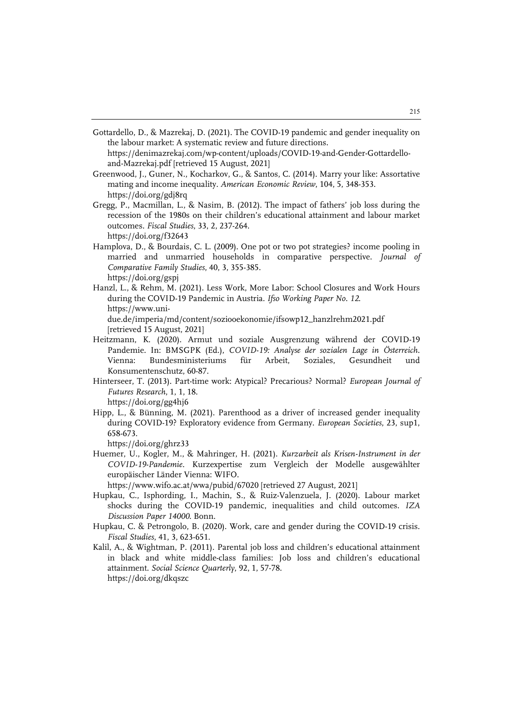Gottardello, D., & Mazrekaj, D. (2021). The COVID-19 pandemic and gender inequality on the labour market: A systematic review and future directions. https://denimazrekaj.com/wp-content/uploads/COVID-19-and-Gender-Gottardello-

and-Mazrekaj.pdf [retrieved 15 August, 2021]

- Greenwood, J., Guner, N., Kocharkov, G., & Santos, C. (2014). Marry your like: Assortative mating and income inequality. *American Economic Review*, 104, 5, 348-353. https://doi.org/gdj8rq
- Gregg, P., Macmillan, L., & Nasim, B. (2012). The impact of fathers' job loss during the recession of the 1980s on their children's educational attainment and labour market outcomes. *Fiscal Studies*, 33, 2, 237-264. https://doi.org/f32643
- Hamplova, D., & Bourdais, C. L. (2009). One pot or two pot strategies? income pooling in married and unmarried households in comparative perspective. *Journal of Comparative Family Studies*, 40, 3, 355-385. https://doi.org/gspj
- Hanzl, L., & Rehm, M. (2021). Less Work, More Labor: School Closures and Work Hours during the COVID-19 Pandemic in Austria. *Ifso Working Paper No. 12*. https://www.unidue.de/imperia/md/content/soziooekonomie/ifsowp12\_hanzlrehm2021.pdf [retrieved 15 August, 2021]
- Heitzmann, K. (2020). Armut und soziale Ausgrenzung während der COVID-19 Pandemie. In: BMSGPK (Ed.), *COVID-19: Analyse der sozialen Lage in Österreich*. Vienna: Bundesministeriums für Arbeit, Soziales, Gesundheit und Konsumentenschutz, 60-87.
- Hinterseer, T. (2013). Part-time work: Atypical? Precarious? Normal? *European Journal of Futures Research*, 1, 1, 18.

https://doi.org/gg4hj6

Hipp, L., & Bünning, M. (2021). Parenthood as a driver of increased gender inequality during COVID-19? Exploratory evidence from Germany. *European Societies*, 23, sup1, 658-673.

https://doi.org/ghrz33

Huemer, U., Kogler, M., & Mahringer, H. (2021). *Kurzarbeit als Krisen-Instrument in der COVID-19-Pandemie*. Kurzexpertise zum Vergleich der Modelle ausgewählter europäischer Länder Vienna: WIFO.

https://www.wifo.ac.at/wwa/pubid/67020 [retrieved 27 August, 2021]

- Hupkau, C., Isphording, I., Machin, S., & Ruiz-Valenzuela, J. (2020). Labour market shocks during the COVID-19 pandemic, inequalities and child outcomes. *IZA Discussion Paper 14000*. Bonn.
- Hupkau, C. & Petrongolo, B. (2020). Work, care and gender during the COVID-19 crisis. *Fiscal Studies*, 41, 3, 623-651.
- Kalil, A., & Wightman, P. (2011). Parental job loss and children's educational attainment in black and white middle-class families: Job loss and children's educational attainment. *Social Science Quarterly*, 92, 1, 57-78. https://doi.org/dkqszc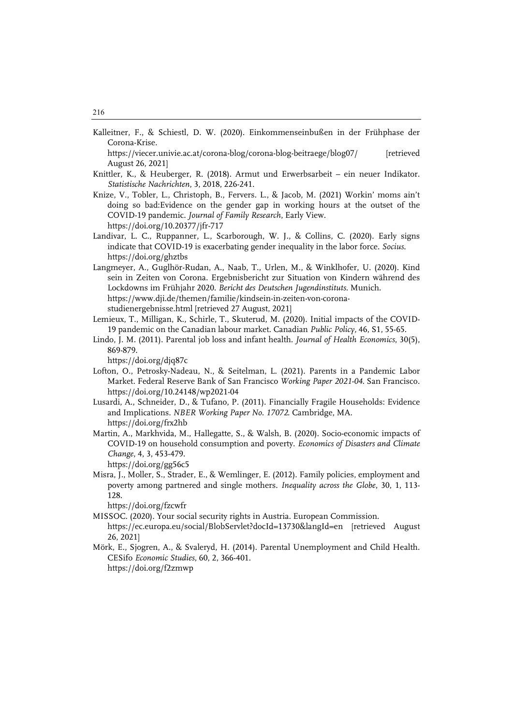Kalleitner, F., & Schiestl, D. W. (2020). Einkommenseinbußen in der Frühphase der Corona-Krise.

https://viecer.univie.ac.at/corona-blog/corona-blog-beitraege/blog07/ [retrieved August 26, 2021]

- Knittler, K., & Heuberger, R. (2018). Armut und Erwerbsarbeit ein neuer Indikator. *Statistische Nachrichten*, 3, 2018, 226-241.
- Knize, V., Tobler, L., Christoph, B., Fervers. L., & Jacob, M. (2021) Workin' moms ain't doing so bad:Evidence on the gender gap in working hours at the outset of the COVID-19 pandemic. *Journal of Family Research*, Early View. <https://doi.org/10.20377/jfr-717>
- Landivar, L. C., Ruppanner, L., Scarborough, W. J., & Collins, C. (2020). Early signs indicate that COVID-19 is exacerbating gender inequality in the labor force. *Socius*. https://doi.org/ghztbs
- Langmeyer, A., Guglhör-Rudan, A., Naab, T., Urlen, M., & Winklhofer, U. (2020). Kind sein in Zeiten von Corona. Ergebnisbericht zur Situation von Kindern während des Lockdowns im Frühjahr 2020. *Bericht des Deutschen Jugendinstituts*. Munich. https://www.dji.de/themen/familie/kindsein-in-zeiten-von-coronastudienergebnisse.html [retrieved 27 August, 2021]
- Lemieux, T., Milligan, K., Schirle, T., Skuterud, M. (2020). Initial impacts of the COVID-19 pandemic on the Canadian labour market. Canadian *Public Policy,* 46, S1, 55-65.
- Lindo, J. M. (2011). Parental job loss and infant health. *Journal of Health Economics*, 30(5), 869-879.

https://doi.org/djq87c

- Lofton, O., Petrosky-Nadeau, N., & Seitelman, L. (2021). Parents in a Pandemic Labor Market. Federal Reserve Bank of San Francisco *Working Paper 2021-04*. San Francisco. https://doi.org/10.24148/wp2021-04
- Lusardi, A., Schneider, D., & Tufano, P. (2011). Financially Fragile Households: Evidence and Implications. *NBER Working Paper No. 17072*. Cambridge, MA. https://doi.org/frx2hb
- Martin, A., Markhvida, M., Hallegatte, S., & Walsh, B. (2020). Socio-economic impacts of COVID-19 on household consumption and poverty. *Economics of Disasters and Climate Change*, 4, 3, 453-479. https://doi.org/gg56c5
- Misra, J., Moller, S., Strader, E., & Wemlinger, E. (2012). Family policies, employment and poverty among partnered and single mothers. *Inequality across the Globe*, 30, 1, 113- 128.

https://doi.org/fzcwfr

MISSOC. (2020). Your social security rights in Austria. European Commission.

<https://ec.europa.eu/social/BlobServlet?docId=13730&langId=en> [retrieved August 26, 2021]

Mörk, E., Sjogren, A., & Svaleryd, H. (2014). Parental Unemployment and Child Health. CESifo *Economic Studies*, 60, 2, 366-401. https://doi.org/f2zmwp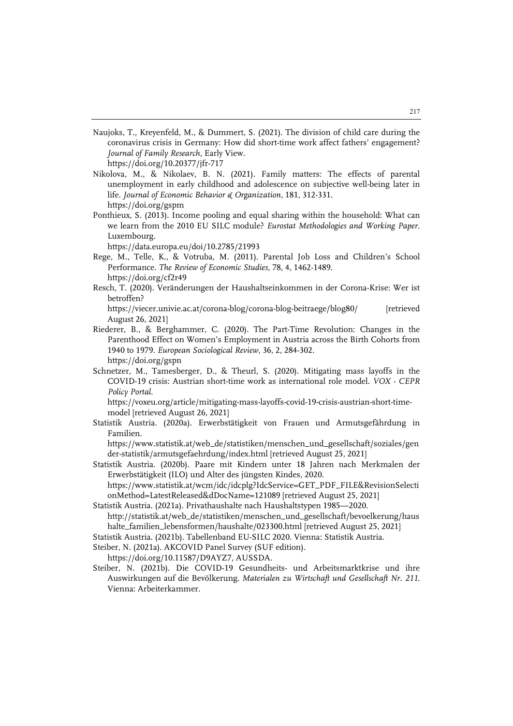Naujoks, T., Kreyenfeld, M., & Dummert, S. (2021). The division of child care during the coronavirus crisis in Germany: How did short-time work affect fathers' engagement? *Journal of Family Research*, Early View.

<https://doi.org/10.20377/jfr-717>

- Nikolova, M., & Nikolaev, B. N. (2021). Family matters: The effects of parental unemployment in early childhood and adolescence on subjective well-being later in life. *Journal of Economic Behavior & Organization*, 181, 312-331. https://doi.org/gspm
- Ponthieux, S. (2013). Income pooling and equal sharing within the household: What can we learn from the 2010 EU SILC module? *Eurostat Methodologies and Working Paper*. Luxembourg.

https://data.europa.eu/doi/10.2785/21993

- Rege, M., Telle, K., & Votruba, M. (2011). Parental Job Loss and Children's School Performance. *The Review of Economic Studies*, 78, 4, 1462-1489. https://doi.org/cf2r49
- Resch, T. (2020). Veränderungen der Haushaltseinkommen in der Corona-Krise: Wer ist betroffen?

https://viecer.univie.ac.at/corona-blog/corona-blog-beitraege/blog80/ [retrieved August 26, 2021]

- Riederer, B., & Berghammer, C. (2020). The Part-Time Revolution: Changes in the Parenthood Effect on Women's Employment in Austria across the Birth Cohorts from 1940 to 1979. *European Sociological Review*, 36, 2, 284-302. https://doi.org/gspn
- Schnetzer, M., Tamesberger, D., & Theurl, S. (2020). Mitigating mass layoffs in the COVID-19 crisis: Austrian short-time work as international role model. *VOX - CEPR Policy Portal*.

https://voxeu.org/article/mitigating-mass-layoffs-covid-19-crisis-austrian-short-timemodel [retrieved August 26, 2021]

Statistik Austria. (2020a). Erwerbstätigkeit von Frauen und Armutsgefährdung in Familien.

https://www.statistik.at/web\_de/statistiken/menschen\_und\_gesellschaft/soziales/gen der-statistik/armutsgefaehrdung/index.html [retrieved August 25, 2021]

Statistik Austria. (2020b). Paare mit Kindern unter 18 Jahren nach Merkmalen der Erwerbstätigkeit (ILO) und Alter des jüngsten Kindes, 2020. https://www.statistik.at/wcm/idc/idcplg?IdcService=GET\_PDF\_FILE&RevisionSelecti

onMethod=LatestReleased&dDocName=121089 [retrieved August 25, 2021]

Statistik Austria. (2021a). Privathaushalte nach Haushaltstypen 1985—2020. http://statistik.at/web\_de/statistiken/menschen\_und\_gesellschaft/bevoelkerung/haus halte\_familien\_lebensformen/haushalte/023300.html [retrieved August 25, 2021]

Statistik Austria. (2021b). Tabellenband EU-SILC 2020. Vienna: Statistik Austria.

Steiber, N. (2021a). AKCOVID Panel Survey (SUF edition).

https://doi.org/10.11587/D9AYZ7, AUSSDA.

Steiber, N. (2021b). Die COVID-19 Gesundheits- und Arbeitsmarktkrise und ihre Auswirkungen auf die Bevölkerung. *Materialen zu Wirtschaft und Gesellschaft Nr. 211*. Vienna: Arbeiterkammer.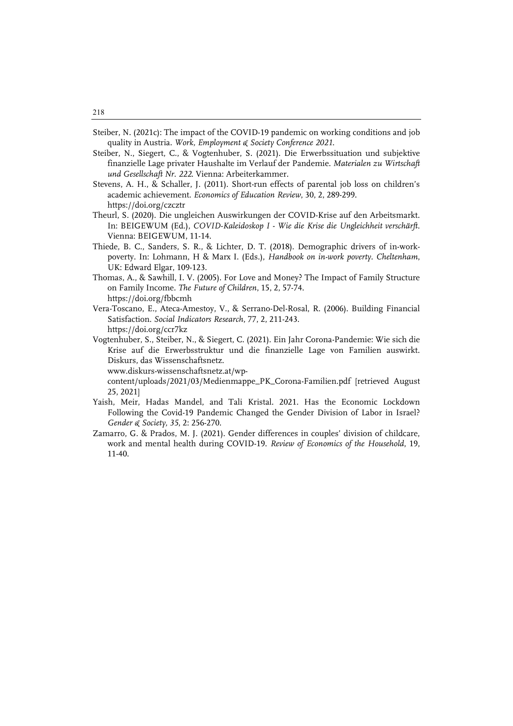- Steiber, N. (2021c): The impact of the COVID-19 pandemic on working conditions and job quality in Austria. *Work, Employment & Society Conference 2021*.
- Steiber, N., Siegert, C., & Vogtenhuber, S. (2021). Die Erwerbssituation und subjektive finanzielle Lage privater Haushalte im Verlauf der Pandemie. *Materialen zu Wirtschaft und Gesellschaft Nr. 222*. Vienna: Arbeiterkammer.
- Stevens, A. H., & Schaller, J. (2011). Short-run effects of parental job loss on children's academic achievement. *Economics of Education Review*, 30, 2, 289-299. https://doi.org/czcztr
- Theurl, S. (2020). Die ungleichen Auswirkungen der COVID-Krise auf den Arbeitsmarkt. In: BEIGEWUM (Ed.), *COVID-Kaleidoskop I - Wie die Krise die Ungleichheit verschärft*. Vienna: BEIGEWUM, 11-14.
- Thiede, B. C., Sanders, S. R., & Lichter, D. T. (2018). Demographic drivers of in-workpoverty. In: Lohmann, H & Marx I. (Eds.), *Handbook on in-work poverty. Cheltenham*, UK: Edward Elgar, 109-123.
- Thomas, A., & Sawhill, I. V. (2005). For Love and Money? The Impact of Family Structure on Family Income. *The Future of Children*, 15, 2, 57-74. https://doi.org/fbbcmh
- Vera-Toscano, E., Ateca-Amestoy, V., & Serrano-Del-Rosal, R. (2006). Building Financial Satisfaction. *Social Indicators Research*, 77, 2, 211-243. https://doi.org/ccr7kz
- Vogtenhuber, S., Steiber, N., & Siegert, C. (2021). Ein Jahr Corona-Pandemie: Wie sich die Krise auf die Erwerbsstruktur und die finanzielle Lage von Familien auswirkt. Diskurs, das Wissenschaftsnetz.
	- www.diskurs-wissenschaftsnetz.at/wp-

content/uploads/2021/03/Medienmappe\_PK\_Corona-Familien.pdf [retrieved August 25, 2021]

- Yaish, Meir, Hadas Mandel, and Tali Kristal. 2021. Has the Economic Lockdown Following the Covid-19 Pandemic Changed the Gender Division of Labor in Israel? *Gender & Society, 35*, 2: 256-270.
- Zamarro, G. & Prados, M. J. (2021). Gender differences in couples' division of childcare, work and mental health during COVID-19. *Review of Economics of the Household*, 19, 11-40.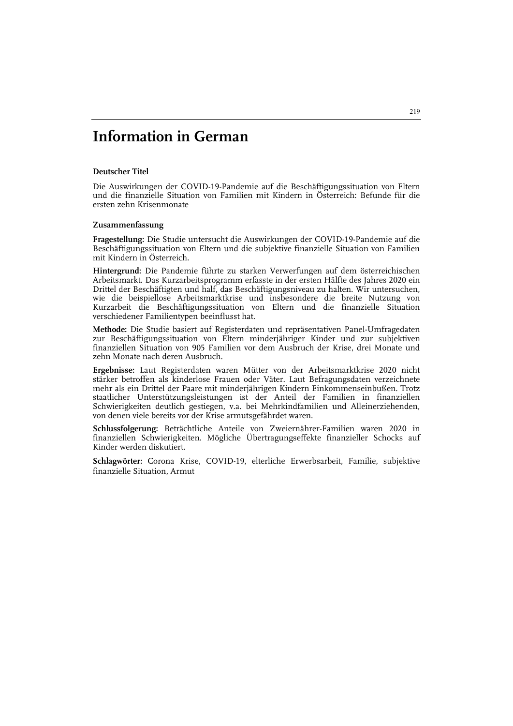# **Information in German**

#### **Deutscher Titel**

Die Auswirkungen der COVID-19-Pandemie auf die Beschäftigungssituation von Eltern und die finanzielle Situation von Familien mit Kindern in Österreich: Befunde für die ersten zehn Krisenmonate

#### **Zusammenfassung**

**Fragestellung:** Die Studie untersucht die Auswirkungen der COVID-19-Pandemie auf die Beschäftigungssituation von Eltern und die subjektive finanzielle Situation von Familien mit Kindern in Österreich.

**Hintergrund:** Die Pandemie führte zu starken Verwerfungen auf dem österreichischen Arbeitsmarkt. Das Kurzarbeitsprogramm erfasste in der ersten Hälfte des Jahres 2020 ein Drittel der Beschäftigten und half, das Beschäftigungsniveau zu halten. Wir untersuchen, wie die beispiellose Arbeitsmarktkrise und insbesondere die breite Nutzung von Kurzarbeit die Beschäftigungssituation von Eltern und die finanzielle Situation verschiedener Familientypen beeinflusst hat.

**Methode:** Die Studie basiert auf Registerdaten und repräsentativen Panel-Umfragedaten zur Beschäftigungssituation von Eltern minderjähriger Kinder und zur subjektiven finanziellen Situation von 905 Familien vor dem Ausbruch der Krise, drei Monate und zehn Monate nach deren Ausbruch.

**Ergebnisse:** Laut Registerdaten waren Mütter von der Arbeitsmarktkrise 2020 nicht stärker betroffen als kinderlose Frauen oder Väter. Laut Befragungsdaten verzeichnete mehr als ein Drittel der Paare mit minderjährigen Kindern Einkommenseinbußen. Trotz staatlicher Unterstützungsleistungen ist der Anteil der Familien in finanziellen Schwierigkeiten deutlich gestiegen, v.a. bei Mehrkindfamilien und Alleinerziehenden, von denen viele bereits vor der Krise armutsgefährdet waren.

**Schlussfolgerung:** Beträchtliche Anteile von Zweiernährer-Familien waren 2020 in finanziellen Schwierigkeiten. Mögliche Übertragungseffekte finanzieller Schocks auf Kinder werden diskutiert.

**Schlagwörter:** Corona Krise, COVID-19, elterliche Erwerbsarbeit, Familie, subjektive finanzielle Situation, Armut